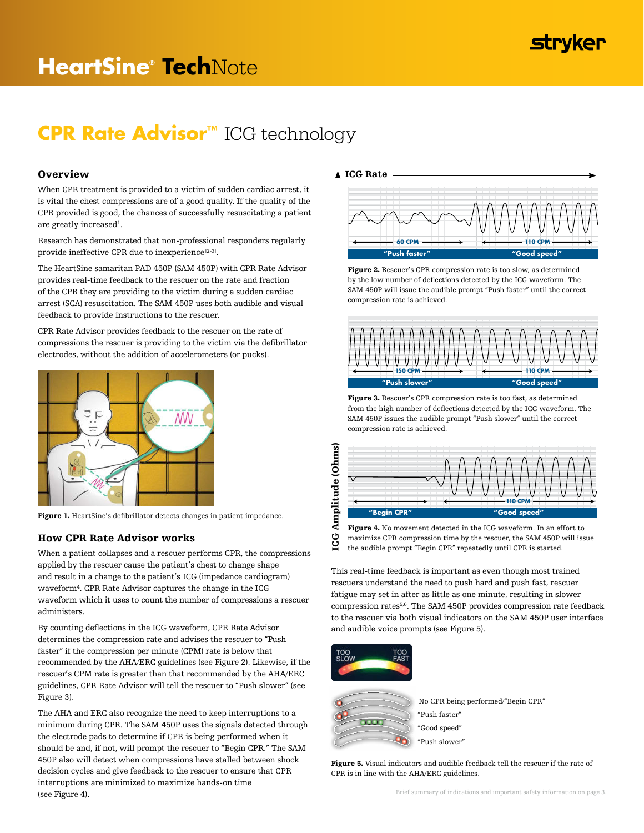# **stryker**

# **CPR Rate Advisor™** ICG technology

# Overview

When CPR treatment is provided to a victim of sudden cardiac arrest, it is vital the chest compressions are of a good quality. If the quality of the CPR provided is good, the chances of successfully resuscitating a patient are greatly increased<sup>1</sup>.

Research has demonstrated that non-professional responders regularly provide ineffective CPR due to inexperience [2-3].

The HeartSine samaritan PAD 450P (SAM 450P) with CPR Rate Advisor provides real-time feedback to the rescuer on the rate and fraction of the CPR they are providing to the victim during a sudden cardiac arrest (SCA) resuscitation. The SAM 450P uses both audible and visual feedback to provide instructions to the rescuer.

CPR Rate Advisor provides feedback to the rescuer on the rate of compressions the rescuer is providing to the victim via the defibrillator electrodes, without the addition of accelerometers (or pucks).



Figure 1. HeartSine's defibrillator detects changes in patient impedance.

# How CPR Rate Advisor works

When a patient collapses and a rescuer performs CPR, the compressions applied by the rescuer cause the patient's chest to change shape and result in a change to the patient's ICG (impedance cardiogram) waveform<sup>4</sup> . CPR Rate Advisor captures the change in the ICG waveform which it uses to count the number of compressions a rescuer administers.

By counting deflections in the ICG waveform, CPR Rate Advisor determines the compression rate and advises the rescuer to "Push faster" if the compression per minute (CPM) rate is below that recommended by the AHA/ERC guidelines (see Figure 2). Likewise, if the rescuer's CPM rate is greater than that recommended by the AHA/ERC guidelines, CPR Rate Advisor will tell the rescuer to "Push slower" (see Figure 3).

The AHA and ERC also recognize the need to keep interruptions to a minimum during CPR. The SAM 450P uses the signals detected through the electrode pads to determine if CPR is being performed when it should be and, if not, will prompt the rescuer to "Begin CPR." The SAM 450P also will detect when compressions have stalled between shock decision cycles and give feedback to the rescuer to ensure that CPR interruptions are minimized to maximize hands-on time (see Figure 4).



Figure 2. Rescuer's CPR compression rate is too slow, as determined by the low number of deflections detected by the ICG waveform. The SAM 450P will issue the audible prompt "Push faster" until the correct compression rate is achieved.



Figure 3. Rescuer's CPR compression rate is too fast, as determined from the high number of deflections detected by the ICG waveform. The SAM 450P issues the audible prompt "Push slower" until the correct compression rate is achieved.



Figure 4. No movement detected in the ICG waveform. In an effort to maximize CPR compression time by the rescuer, the SAM 450P will issue the audible prompt "Begin CPR" repeatedly until CPR is started.

This real-time feedback is important as even though most trained rescuers understand the need to push hard and push fast, rescuer fatigue may set in after as little as one minute, resulting in slower compression rates5,6 . The SAM 450P provides compression rate feedback to the rescuer via both visual indicators on the SAM 450P user interface and audible voice prompts (see Figure 5).



5C



No CPR being performed/"Begin CPR" "Push faster" "Good speed"

"Push slower"

Figure 5. Visual indicators and audible feedback tell the rescuer if the rate of CPR is in line with the AHA/ERC guidelines.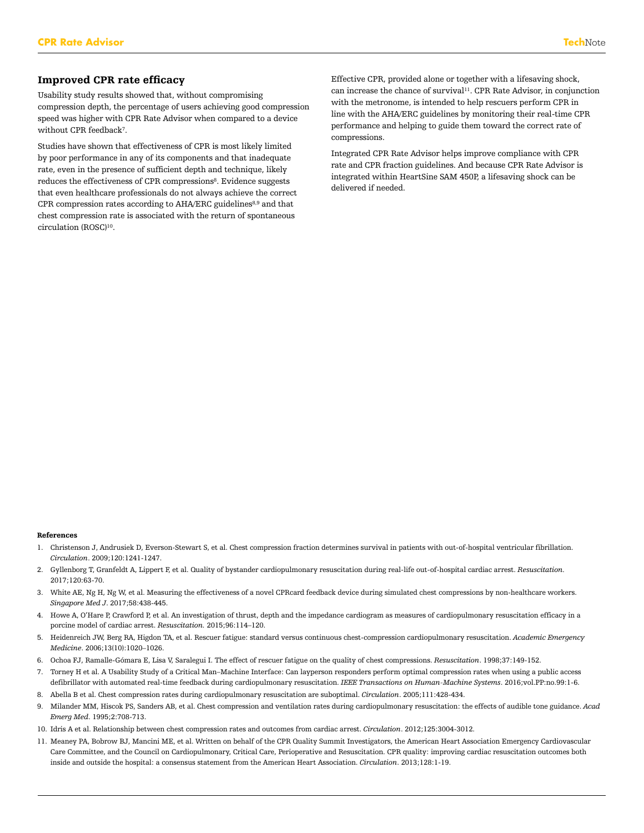# Improved CPR rate efficacy

Usability study results showed that, without compromising compression depth, the percentage of users achieving good compression speed was higher with CPR Rate Advisor when compared to a device without CPR feedback<sup>7</sup> .

Studies have shown that effectiveness of CPR is most likely limited by poor performance in any of its components and that inadequate rate, even in the presence of sufficient depth and technique, likely reduces the effectiveness of CPR compressions<sup>8</sup>. Evidence suggests that even healthcare professionals do not always achieve the correct CPR compression rates according to AHA/ERC guidelines<sup>8,9</sup> and that chest compression rate is associated with the return of spontaneous circulation (ROSC)<sup>10</sup> .

Effective CPR, provided alone or together with a lifesaving shock, can increase the chance of survival<sup>11</sup>. CPR Rate Advisor, in conjunction with the metronome, is intended to help rescuers perform CPR in line with the AHA/ERC guidelines by monitoring their real-time CPR performance and helping to guide them toward the correct rate of compressions.

Integrated CPR Rate Advisor helps improve compliance with CPR rate and CPR fraction guidelines. And because CPR Rate Advisor is integrated within HeartSine SAM 450P, a lifesaving shock can be delivered if needed.

#### References

- 1. Christenson J, Andrusiek D, Everson-Stewart S, et al. Chest compression fraction determines survival in patients with out-of-hospital ventricular fibrillation. *Circulation*. 2009;120:1241-1247.
- 2. Gyllenborg T, Granfeldt A, Lippert F, et al. Quality of bystander cardiopulmonary resuscitation during real-life out-of-hospital cardiac arrest. *Resuscitation.*  2017;120:63-70.
- 3. White AE, Ng H, Ng W, et al. Measuring the effectiveness of a novel CPRcard feedback device during simulated chest compressions by non-healthcare workers. *Singapore Med J*. 2017;58:438-445.
- 4. Howe A, O'Hare P, Crawford P, et al. An investigation of thrust, depth and the impedance cardiogram as measures of cardiopulmonary resuscitation efficacy in a porcine model of cardiac arrest. *Resuscitation.* 2015;96:114–120.
- 5. Heidenreich JW, Berg RA, Higdon TA, et al. Rescuer fatigue: standard versus continuous chest-compression cardiopulmonary resuscitation. *Academic Emergency Medicine*. 2006;13(10):1020–1026.
- 6. Ochoa FJ, Ramalle-Gómara E, Lisa V, Saralegui I. The effect of rescuer fatigue on the quality of chest compressions. *Resuscitation*. 1998;37:149-152.
- 7. Torney H et al. A Usability Study of a Critical Man–Machine Interface: Can layperson responders perform optimal compression rates when using a public access defibrillator with automated real-time feedback during cardiopulmonary resuscitation. *IEEE Transactions on Human-Machine Systems*. 2016;vol.PP:no.99:1-6.
- 8. Abella B et al. Chest compression rates during cardiopulmonary resuscitation are suboptimal. *Circulation*. 2005;111:428-434.
- 9. Milander MM, Hiscok PS, Sanders AB, et al. Chest compression and ventilation rates during cardiopulmonary resuscitation: the effects of audible tone guidance. *Acad Emerg Med*. 1995;2:708-713.
- 10. Idris A et al. Relationship between chest compression rates and outcomes from cardiac arrest. *Circulation*. 2012;125:3004-3012.
- 11. Meaney PA, Bobrow BJ, Mancini ME, et al. Written on behalf of the CPR Quality Summit Investigators, the American Heart Association Emergency Cardiovascular Care Committee, and the Council on Cardiopulmonary, Critical Care, Perioperative and Resuscitation. CPR quality: improving cardiac resuscitation outcomes both inside and outside the hospital: a consensus statement from the American Heart Association. *Circulation*. 2013;128:1-19.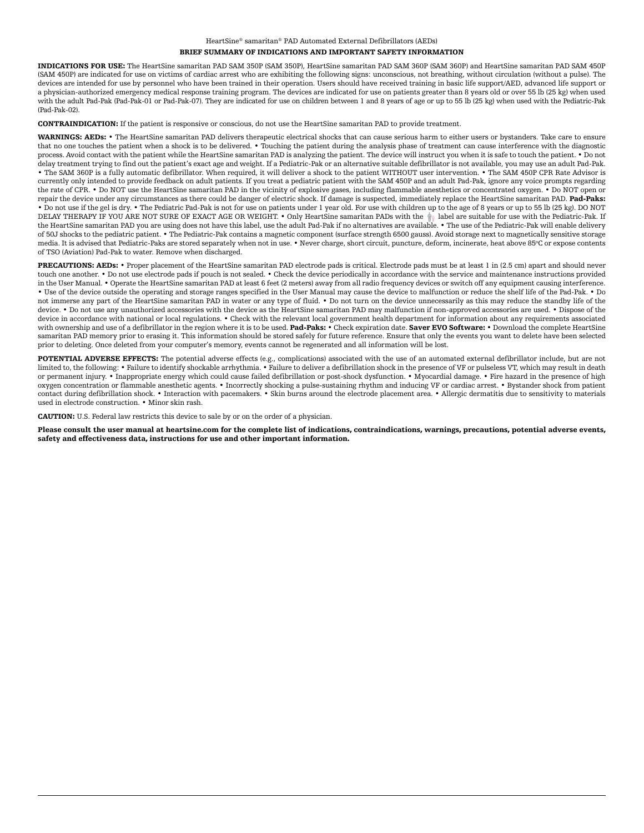#### HeartSine® samaritan® PAD Automated External Defibrillators (AEDs) BRIEF SUMMARY OF INDICATIONS AND IMPORTANT SAFETY INFORMATION

INDICATIONS FOR USE: The HeartSine samaritan PAD SAM 350P (SAM 350P), HeartSine samaritan PAD SAM 360P (SAM 360P) and HeartSine samaritan PAD SAM 450P (SAM 450P) are indicated for use on victims of cardiac arrest who are exhibiting the following signs: unconscious, not breathing, without circulation (without a pulse). The devices are intended for use by personnel who have been trained in their operation. Users should have received training in basic life support/AED, advanced life support or a physician-authorized emergency medical response training program. The devices are indicated for use on patients greater than 8 years old or over 55 lb (25 kg) when used with the adult Pad-Pak (Pad-Pak-01 or Pad-Pak-07). They are indicated for use on children between 1 and 8 years of age or up to 55 lb (25 kg) when used with the Pediatric-Pak (Pad-Pak-02).

CONTRAINDICATION: If the patient is responsive or conscious, do not use the HeartSine samaritan PAD to provide treatment.

WARNINGS: AEDs: • The HeartSine samaritan PAD delivers therapeutic electrical shocks that can cause serious harm to either users or bystanders. Take care to ensure that no one touches the patient when a shock is to be delivered. • Touching the patient during the analysis phase of treatment can cause interference with the diagnostic process. Avoid contact with the patient while the HeartSine samaritan PAD is analyzing the patient. The device will instruct you when it is safe to touch the patient. • Do not delay treatment trying to find out the patient's exact age and weight. If a Pediatric-Pak or an alternative suitable defibrillator is not available, you may use an adult Pad-Pak. • The SAM 360P is a fully automatic defibrillator. When required, it will deliver a shock to the patient WITHOUT user intervention. • The SAM 450P CPR Rate Advisor is currently only intended to provide feedback on adult patients. If you treat a pediatric patient with the SAM 450P and an adult Pad-Pak, ignore any voice prompts regarding the rate of CPR. • Do NOT use the HeartSine samaritan PAD in the vicinity of explosive gases, including flammable anesthetics or concentrated oxygen. • Do NOT open or repair the device under any circumstances as there could be danger of electric shock. If damage is suspected, immediately replace the HeartSine samaritan PAD. Pad-Paks: • Do not use if the gel is dry. • The Pediatric Pad-Pak is not for use on patients under 1 year old. For use with children up to the age of 8 years or up to 55 lb (25 kg). DO NOT DELAY THERAPY IF YOU ARE NOT SURE OF EXACT AGE OR WEIGHT. • Only HeartSine samaritan PADs with the  $\frac{a}{B}$  label are suitable for use with the Pediatric-Pak. If the HeartSine samaritan PAD you are using does not have this label, use the adult Pad-Pak if no alternatives are available. • The use of the Pediatric-Pak will enable delivery of 50J shocks to the pediatric patient. • The Pediatric-Pak contains a magnetic component (surface strength 6500 gauss). Avoid storage next to magnetically sensitive storage media. It is advised that Pediatric-Paks are stored separately when not in use. • Never charge, short circuit, puncture, deform, incinerate, heat above 85oC or expose contents of TSO (Aviation) Pad-Pak to water. Remove when discharged.

PRECAUTIONS: AEDs: • Proper placement of the HeartSine samaritan PAD electrode pads is critical. Electrode pads must be at least 1 in (2.5 cm) apart and should never touch one another. • Do not use electrode pads if pouch is not sealed. • Check the device periodically in accordance with the service and maintenance instructions provided in the User Manual. • Operate the HeartSine samaritan PAD at least 6 feet (2 meters) away from all radio frequency devices or switch off any equipment causing interference. • Use of the device outside the operating and storage ranges specified in the User Manual may cause the device to malfunction or reduce the shelf life of the Pad-Pak. • Do not immerse any part of the HeartSine samaritan PAD in water or any type of fluid. • Do not turn on the device unnecessarily as this may reduce the standby life of the device. • Do not use any unauthorized accessories with the device as the HeartSine samaritan PAD may malfunction if non-approved accessories are used. • Dispose of the device in accordance with national or local regulations. • Check with the relevant local government health department for information about any requirements associated with ownership and use of a defibrillator in the region where it is to be used. Pad-Paks: • Check expiration date. Saver EVO Software: • Download the complete HeartSine samaritan PAD memory prior to erasing it. This information should be stored safely for future reference. Ensure that only the events you want to delete have been selected prior to deleting. Once deleted from your computer's memory, events cannot be regenerated and all information will be lost.

POTENTIAL ADVERSE EFFECTS: The potential adverse effects (e.g., complications) associated with the use of an automated external defibrillator include, but are not limited to, the following: • Failure to identify shockable arrhythmia. • Failure to deliver a defibrillation shock in the presence of VF or pulseless VT, which may result in death or permanent injury. • Inappropriate energy which could cause failed defibrillation or post-shock dysfunction. • Myocardial damage. • Fire hazard in the presence of high oxygen concentration or flammable anesthetic agents. • Incorrectly shocking a pulse-sustaining rhythm and inducing VF or cardiac arrest. • Bystander shock from patient contact during defibrillation shock. • Interaction with pacemakers. • Skin burns around the electrode placement area. • Allergic dermatitis due to sensitivity to materials used in electrode construction. • Minor skin rash.

CAUTION: U.S. Federal law restricts this device to sale by or on the order of a physician.

Please consult the user manual at heartsine.com for the complete list of indications, contraindications, warnings, precautions, potential adverse events, safety and effectiveness data, instructions for use and other important information.